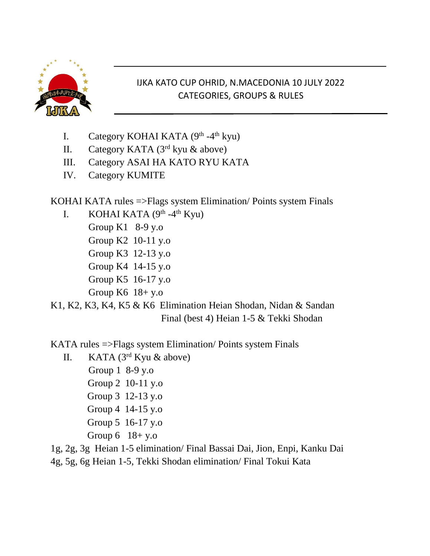

## IJKA KATO CUP OHRID, N.MACEDONIA 10 JULY 2022 CATEGORIES, GROUPS & RULES

- I. Category KOHAI KATA (9<sup>th</sup> -4<sup>th</sup> kyu)
- II. Category KATA (3<sup>rd</sup> kyu & above)
- III. Category ASAI HA KATO RYU KATA
- IV. Category KUMITE

KOHAI KATA rules =>Flags system Elimination/ Points system Finals

- I. KOHAI KATA  $(9<sup>th</sup> 4<sup>th</sup>$  Kyu)
	- Group K1 8-9 y.o
	- Group K2 10-11 y.o
	- Group K3 12-13 y.o
	- Group K4 14-15 y.o
	- Group K5 16-17 y.o
	- Group K6 18+ y.o

K1, K2, K3, K4, K5 & K6 Elimination Heian Shodan, Nidan & Sandan Final (best 4) Heian 1-5 & Tekki Shodan

KATA rules =>Flags system Elimination/ Points system Finals

- II. KATA (3rd Kyu & above) Group 1 8-9 y.o Group 2 10-11 y.o Group 3 12-13 y.o Group 4 14-15 y.o Group 5 16-17 y.o
	-
	- Group 6 18+ y.o
- 1g, 2g, 3g Heian 1-5 elimination/ Final Bassai Dai, Jion, Enpi, Kanku Dai
- 4g, 5g, 6g Heian 1-5, Tekki Shodan elimination/ Final Tokui Kata